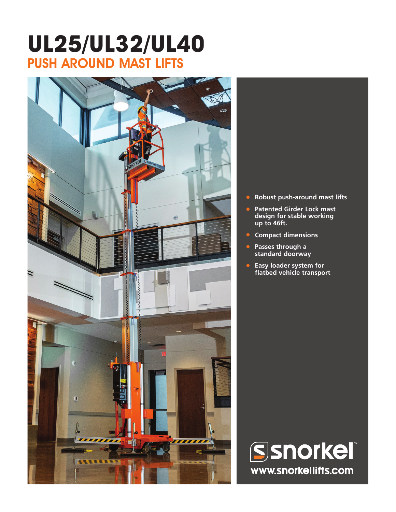# **UL25/UL32/UL40** PUSH AROUND MAST LIFTS



- **• Robust push-around mast lifts**
- **• Patented Girder Lock mast design for stable working up to 46ft.**
- **• Compact dimensions**
- **• Passes through a standard doorway**
- **• Easy loader system for flatbed vehicle transport**